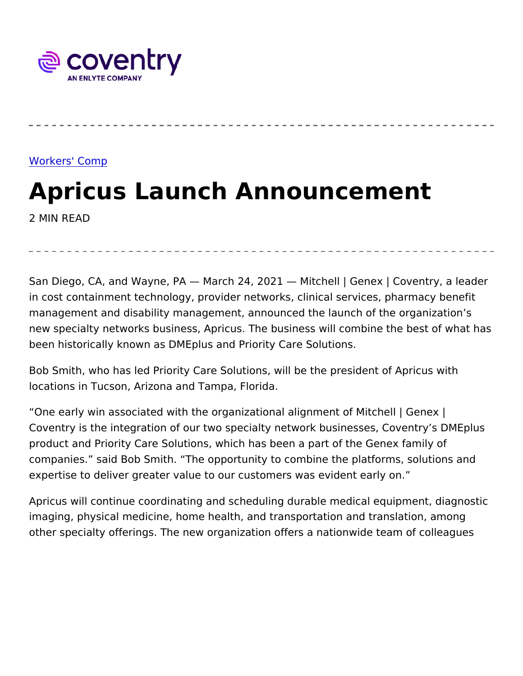## [Workers' C](https://www.coventrywcs.com/insights/workers-comp)omp

Apricus Launch Announcement 2 MIN READ

San Diego, CA, and Wayne, PA March 24, 2021 Mitchell | Genex in cost containment technology, provider networks, clinical service management and disability management, announced the launch of th new specialty networks business, Apricus. The business will combir been historically known as DMEplus and Priority Care Solutions.

Bob Smith, who has led Priority Care Solutions, will be the preside locations in Tucson, Arizona and Tampa, Florida.

One early win associated with the organizational alignment of Mitc Coventry is the integration of our two specialty network businesses product and Priority Care Solutions, which has been a part of the G companies. said Bob Smith. The opportunity to combine the platfo expertise to deliver greater value to our customers was evident ear

Apricus will continue coordinating and scheduling durable medical  $\epsilon$ imaging, physical medicine, home health, and transportation and tr other specialty offerings. The new organization offers a nationwide